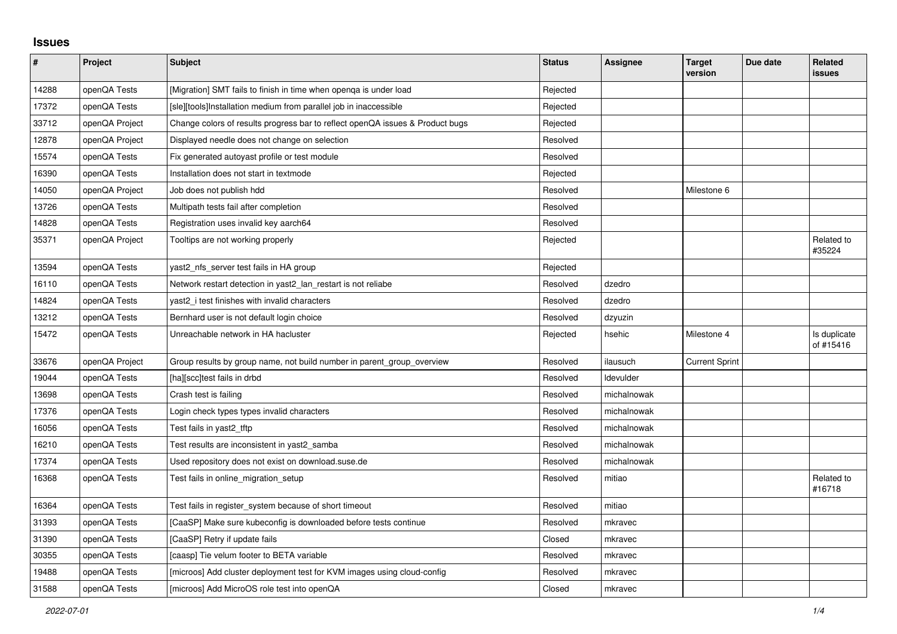## **Issues**

| $\pmb{\sharp}$ | Project        | <b>Subject</b>                                                                | <b>Status</b> | <b>Assignee</b> | <b>Target</b><br>version | Due date | Related<br><b>issues</b>  |
|----------------|----------------|-------------------------------------------------------------------------------|---------------|-----------------|--------------------------|----------|---------------------------|
| 14288          | openQA Tests   | [Migration] SMT fails to finish in time when openqa is under load             | Rejected      |                 |                          |          |                           |
| 17372          | openQA Tests   | [sle][tools]Installation medium from parallel job in inaccessible             | Rejected      |                 |                          |          |                           |
| 33712          | openQA Project | Change colors of results progress bar to reflect openQA issues & Product bugs | Rejected      |                 |                          |          |                           |
| 12878          | openQA Project | Displayed needle does not change on selection                                 | Resolved      |                 |                          |          |                           |
| 15574          | openQA Tests   | Fix generated autoyast profile or test module                                 | Resolved      |                 |                          |          |                           |
| 16390          | openQA Tests   | Installation does not start in textmode                                       | Rejected      |                 |                          |          |                           |
| 14050          | openQA Project | Job does not publish hdd                                                      | Resolved      |                 | Milestone 6              |          |                           |
| 13726          | openQA Tests   | Multipath tests fail after completion                                         | Resolved      |                 |                          |          |                           |
| 14828          | openQA Tests   | Registration uses invalid key aarch64                                         | Resolved      |                 |                          |          |                           |
| 35371          | openQA Project | Tooltips are not working properly                                             | Rejected      |                 |                          |          | Related to<br>#35224      |
| 13594          | openQA Tests   | yast2 nfs server test fails in HA group                                       | Rejected      |                 |                          |          |                           |
| 16110          | openQA Tests   | Network restart detection in yast2_lan_restart is not reliabe                 | Resolved      | dzedro          |                          |          |                           |
| 14824          | openQA Tests   | yast2_i test finishes with invalid characters                                 | Resolved      | dzedro          |                          |          |                           |
| 13212          | openQA Tests   | Bernhard user is not default login choice                                     | Resolved      | dzyuzin         |                          |          |                           |
| 15472          | openQA Tests   | Unreachable network in HA hacluster                                           | Rejected      | hsehic          | Milestone 4              |          | Is duplicate<br>of #15416 |
| 33676          | openQA Project | Group results by group name, not build number in parent group overview        | Resolved      | ilausuch        | <b>Current Sprint</b>    |          |                           |
| 19044          | openQA Tests   | [ha][scc]test fails in drbd                                                   | Resolved      | ldevulder       |                          |          |                           |
| 13698          | openQA Tests   | Crash test is failing                                                         | Resolved      | michalnowak     |                          |          |                           |
| 17376          | openQA Tests   | Login check types types invalid characters                                    | Resolved      | michalnowak     |                          |          |                           |
| 16056          | openQA Tests   | Test fails in yast2_tftp                                                      | Resolved      | michalnowak     |                          |          |                           |
| 16210          | openQA Tests   | Test results are inconsistent in yast2 samba                                  | Resolved      | michalnowak     |                          |          |                           |
| 17374          | openQA Tests   | Used repository does not exist on download.suse.de                            | Resolved      | michalnowak     |                          |          |                           |
| 16368          | openQA Tests   | Test fails in online_migration_setup                                          | Resolved      | mitiao          |                          |          | Related to<br>#16718      |
| 16364          | openQA Tests   | Test fails in register_system because of short timeout                        | Resolved      | mitiao          |                          |          |                           |
| 31393          | openQA Tests   | [CaaSP] Make sure kubeconfig is downloaded before tests continue              | Resolved      | mkravec         |                          |          |                           |
| 31390          | openQA Tests   | [CaaSP] Retry if update fails                                                 | Closed        | mkravec         |                          |          |                           |
| 30355          | openQA Tests   | [caasp] Tie velum footer to BETA variable                                     | Resolved      | mkravec         |                          |          |                           |
| 19488          | openQA Tests   | [microos] Add cluster deployment test for KVM images using cloud-config       | Resolved      | mkravec         |                          |          |                           |
| 31588          | openQA Tests   | [microos] Add MicroOS role test into openQA                                   | Closed        | mkravec         |                          |          |                           |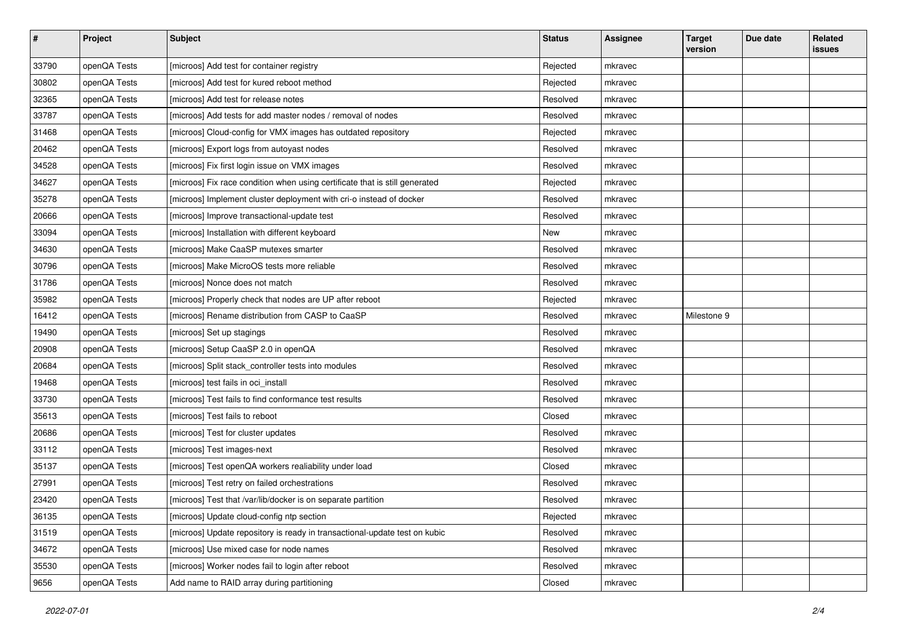| $\sharp$ | Project      | <b>Subject</b>                                                              | <b>Status</b> | <b>Assignee</b> | <b>Target</b><br>version | Due date | Related<br>issues |
|----------|--------------|-----------------------------------------------------------------------------|---------------|-----------------|--------------------------|----------|-------------------|
| 33790    | openQA Tests | [microos] Add test for container registry                                   | Rejected      | mkravec         |                          |          |                   |
| 30802    | openQA Tests | [microos] Add test for kured reboot method                                  | Rejected      | mkravec         |                          |          |                   |
| 32365    | openQA Tests | [microos] Add test for release notes                                        | Resolved      | mkravec         |                          |          |                   |
| 33787    | openQA Tests | [microos] Add tests for add master nodes / removal of nodes                 | Resolved      | mkravec         |                          |          |                   |
| 31468    | openQA Tests | [microos] Cloud-config for VMX images has outdated repository               | Rejected      | mkravec         |                          |          |                   |
| 20462    | openQA Tests | [microos] Export logs from autoyast nodes                                   | Resolved      | mkravec         |                          |          |                   |
| 34528    | openQA Tests | [microos] Fix first login issue on VMX images                               | Resolved      | mkravec         |                          |          |                   |
| 34627    | openQA Tests | [microos] Fix race condition when using certificate that is still generated | Rejected      | mkravec         |                          |          |                   |
| 35278    | openQA Tests | [microos] Implement cluster deployment with cri-o instead of docker         | Resolved      | mkravec         |                          |          |                   |
| 20666    | openQA Tests | [microos] Improve transactional-update test                                 | Resolved      | mkravec         |                          |          |                   |
| 33094    | openQA Tests | [microos] Installation with different keyboard                              | New           | mkravec         |                          |          |                   |
| 34630    | openQA Tests | [microos] Make CaaSP mutexes smarter                                        | Resolved      | mkravec         |                          |          |                   |
| 30796    | openQA Tests | [microos] Make MicroOS tests more reliable                                  | Resolved      | mkravec         |                          |          |                   |
| 31786    | openQA Tests | [microos] Nonce does not match                                              | Resolved      | mkravec         |                          |          |                   |
| 35982    | openQA Tests | [microos] Properly check that nodes are UP after reboot                     | Rejected      | mkravec         |                          |          |                   |
| 16412    | openQA Tests | [microos] Rename distribution from CASP to CaaSP                            | Resolved      | mkravec         | Milestone 9              |          |                   |
| 19490    | openQA Tests | [microos] Set up stagings                                                   | Resolved      | mkravec         |                          |          |                   |
| 20908    | openQA Tests | [microos] Setup CaaSP 2.0 in openQA                                         | Resolved      | mkravec         |                          |          |                   |
| 20684    | openQA Tests | [microos] Split stack_controller tests into modules                         | Resolved      | mkravec         |                          |          |                   |
| 19468    | openQA Tests | [microos] test fails in oci_install                                         | Resolved      | mkravec         |                          |          |                   |
| 33730    | openQA Tests | [microos] Test fails to find conformance test results                       | Resolved      | mkravec         |                          |          |                   |
| 35613    | openQA Tests | [microos] Test fails to reboot                                              | Closed        | mkravec         |                          |          |                   |
| 20686    | openQA Tests | [microos] Test for cluster updates                                          | Resolved      | mkravec         |                          |          |                   |
| 33112    | openQA Tests | [microos] Test images-next                                                  | Resolved      | mkravec         |                          |          |                   |
| 35137    | openQA Tests | [microos] Test openQA workers realiability under load                       | Closed        | mkravec         |                          |          |                   |
| 27991    | openQA Tests | [microos] Test retry on failed orchestrations                               | Resolved      | mkravec         |                          |          |                   |
| 23420    | openQA Tests | [microos] Test that /var/lib/docker is on separate partition                | Resolved      | mkravec         |                          |          |                   |
| 36135    | openQA Tests | [microos] Update cloud-config ntp section                                   | Rejected      | mkravec         |                          |          |                   |
| 31519    | openQA Tests | [microos] Update repository is ready in transactional-update test on kubic  | Resolved      | mkravec         |                          |          |                   |
| 34672    | openQA Tests | [microos] Use mixed case for node names                                     | Resolved      | mkravec         |                          |          |                   |
| 35530    | openQA Tests | [microos] Worker nodes fail to login after reboot                           | Resolved      | mkravec         |                          |          |                   |
| 9656     | openQA Tests | Add name to RAID array during partitioning                                  | Closed        | mkravec         |                          |          |                   |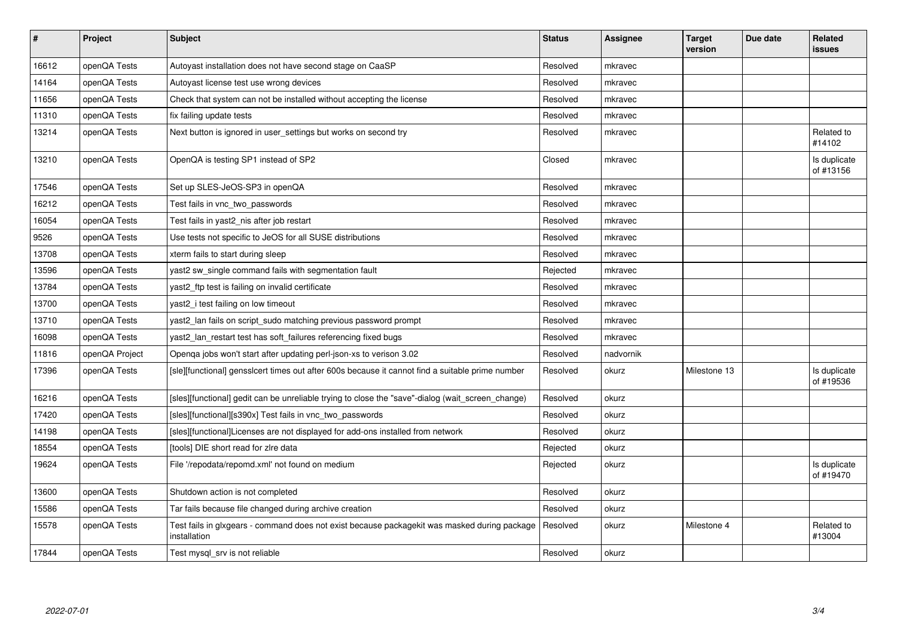| $\sharp$ | Project        | <b>Subject</b>                                                                                               | <b>Status</b> | <b>Assignee</b> | <b>Target</b><br>version | Due date | Related<br>issues         |
|----------|----------------|--------------------------------------------------------------------------------------------------------------|---------------|-----------------|--------------------------|----------|---------------------------|
| 16612    | openQA Tests   | Autoyast installation does not have second stage on CaaSP                                                    | Resolved      | mkravec         |                          |          |                           |
| 14164    | openQA Tests   | Autoyast license test use wrong devices                                                                      | Resolved      | mkravec         |                          |          |                           |
| 11656    | openQA Tests   | Check that system can not be installed without accepting the license                                         | Resolved      | mkravec         |                          |          |                           |
| 11310    | openQA Tests   | fix failing update tests                                                                                     | Resolved      | mkravec         |                          |          |                           |
| 13214    | openQA Tests   | Next button is ignored in user settings but works on second try                                              | Resolved      | mkravec         |                          |          | Related to<br>#14102      |
| 13210    | openQA Tests   | OpenQA is testing SP1 instead of SP2                                                                         | Closed        | mkravec         |                          |          | Is duplicate<br>of #13156 |
| 17546    | openQA Tests   | Set up SLES-JeOS-SP3 in openQA                                                                               | Resolved      | mkravec         |                          |          |                           |
| 16212    | openQA Tests   | Test fails in vnc two passwords                                                                              | Resolved      | mkravec         |                          |          |                           |
| 16054    | openQA Tests   | Test fails in yast2 nis after job restart                                                                    | Resolved      | mkravec         |                          |          |                           |
| 9526     | openQA Tests   | Use tests not specific to JeOS for all SUSE distributions                                                    | Resolved      | mkravec         |                          |          |                           |
| 13708    | openQA Tests   | xterm fails to start during sleep                                                                            | Resolved      | mkravec         |                          |          |                           |
| 13596    | openQA Tests   | yast2 sw single command fails with segmentation fault                                                        | Rejected      | mkravec         |                          |          |                           |
| 13784    | openQA Tests   | yast2 ftp test is failing on invalid certificate                                                             | Resolved      | mkravec         |                          |          |                           |
| 13700    | openQA Tests   | yast2_i test failing on low timeout                                                                          | Resolved      | mkravec         |                          |          |                           |
| 13710    | openQA Tests   | yast2_lan fails on script_sudo matching previous password prompt                                             | Resolved      | mkravec         |                          |          |                           |
| 16098    | openQA Tests   | yast2 lan restart test has soft failures referencing fixed bugs                                              | Resolved      | mkravec         |                          |          |                           |
| 11816    | openQA Project | Openga jobs won't start after updating perl-json-xs to verison 3.02                                          | Resolved      | nadvornik       |                          |          |                           |
| 17396    | openQA Tests   | [sle][functional] gensslcert times out after 600s because it cannot find a suitable prime number             | Resolved      | okurz           | Milestone 13             |          | Is duplicate<br>of #19536 |
| 16216    | openQA Tests   | [sles][functional] gedit can be unreliable trying to close the "save"-dialog (wait screen change)            | Resolved      | okurz           |                          |          |                           |
| 17420    | openQA Tests   | [sles][functional][s390x] Test fails in vnc_two_passwords                                                    | Resolved      | okurz           |                          |          |                           |
| 14198    | openQA Tests   | [sles][functional]Licenses are not displayed for add-ons installed from network                              | Resolved      | okurz           |                          |          |                           |
| 18554    | openQA Tests   | [tools] DIE short read for zire data                                                                         | Rejected      | okurz           |                          |          |                           |
| 19624    | openQA Tests   | File '/repodata/repomd.xml' not found on medium                                                              | Rejected      | okurz           |                          |          | Is duplicate<br>of #19470 |
| 13600    | openQA Tests   | Shutdown action is not completed                                                                             | Resolved      | okurz           |                          |          |                           |
| 15586    | openQA Tests   | Tar fails because file changed during archive creation                                                       | Resolved      | okurz           |                          |          |                           |
| 15578    | openQA Tests   | Test fails in glxgears - command does not exist because packagekit was masked during package<br>installation | Resolved      | okurz           | Milestone 4              |          | Related to<br>#13004      |
| 17844    | openQA Tests   | Test mysgl srv is not reliable                                                                               | Resolved      | okurz           |                          |          |                           |